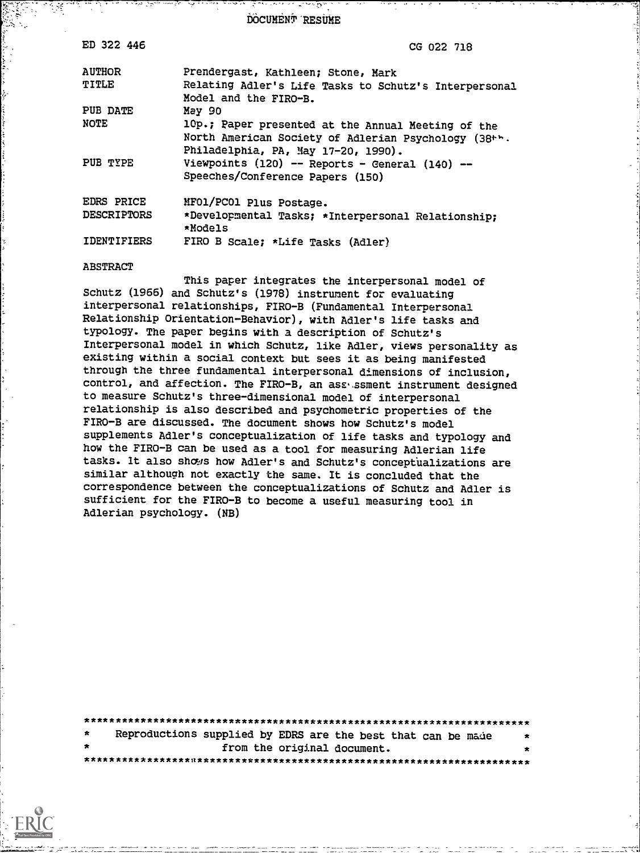DOCUMENT RESUME

| ED 322 446             | CG 022 718                                                                                                                                        |
|------------------------|---------------------------------------------------------------------------------------------------------------------------------------------------|
| <b>AUTHOR</b><br>TITLE | Prendergast, Kathleen; Stone, Mark<br>Relating Adler's Life Tasks to Schutz's Interpersonal<br>Model and the FIRO-B.                              |
| PUB DATE               | May 90                                                                                                                                            |
| NOTE                   | 10p.; Paper presented at the Annual Meeting of the<br>North American Society of Adlerian Psychology (38+h.<br>Philadelphia, PA, May 17-20, 1990). |
| PUB TYPE               | Viewpoints $(120)$ -- Reports - General $(140)$ --<br>Speeches/Conference Papers (150)                                                            |
| <b>EDRS PRICE</b>      | MF01/PC01 Plus Postage.                                                                                                                           |
| <b>DESCRIPTORS</b>     | *Developmental Tasks; *Interpersonal Relationship;<br>*Models                                                                                     |
| <b>IDENTIFIERS</b>     | FIRO B Scale; *Life Tasks (Adler)                                                                                                                 |

#### **ABSTRACT**

This paper integrates the interpersonal model of Schutz (1966) and Schutz's (1978) instrument for evaluating interpersonal relationships, FIRO-B (Fundamental Interpersonal Relationship Orientation-Behavior), with Adler's life tasks and typology. The paper begins with a description of Schutz's Interpersonal model in which Schutz, like Adler, views personality as existing within a social context but sees it as being manifested through the three fundamental interpersonal dimensions of inclusion, control, and affection. The FIRO-B, an assessment instrument designed to measure Schutz's three-dimensional model of interpersonal relationship is also described and psychometric properties of the FIRO-B are discussed. The document shows how Schutz's model supplements Adler's conceptualization of life tasks and typology and how the FIRO-B can be used as a tool for measuring Adlerian life tasks. It also shows how Adler's and Schutz's conceptualizations are similar although not exactly the same. It is concluded that the correspondence between the conceptualizations of Schutz and Adler is sufficient for the FIRO-B to become a useful measuring tool in Adlerian psychology. (NB)

Reproductions supplied by EDRS are the best that can be made from the original document. 

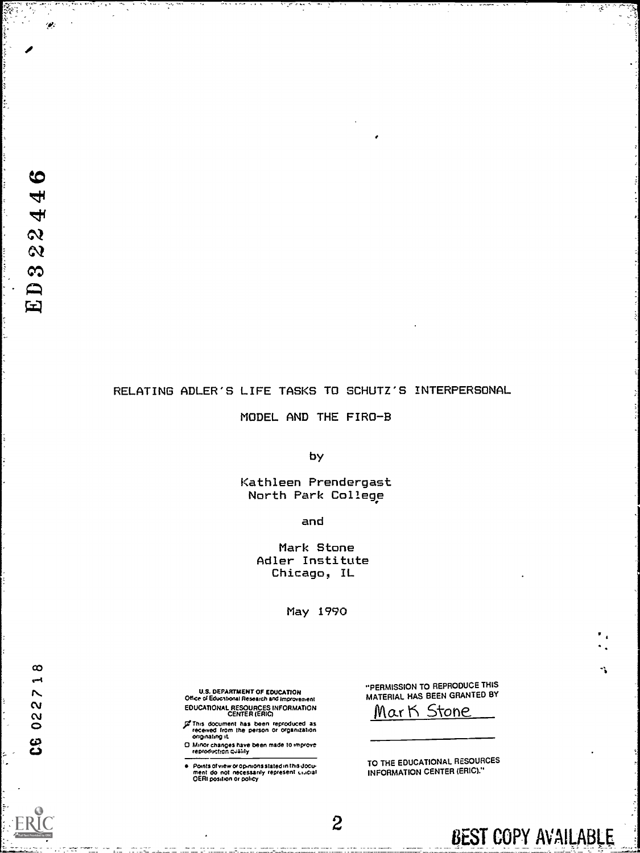$\bullet$ 

 $\mathcal{P}$ 

# RELATING ADLER'S LIFE TASKS TO SCHUTZ'S INTERPERSONAL

MODEL AND THE FIRO-B

by

Kathleen Prendergast North Park College

and

Mark Stone Adler Institute Chicago, IL

May 1990

 $\boldsymbol{2}$ 

U.S. DEPARTMENT OF EDUCATION<br>Office of Educational Research and Improvement<br>EDUCATIONAL RESOURCES INFORMATION<br>CENTER (ERIC)

- of This document has been reproduced as<br>received from the person or organization<br>originating it.
- D. Minor changes have been made to improve<br>reproduction quality
- Points of view or opinions stated in this document, do not inecessarily represent, unicial<br>OERI position or policy  $\bullet$

"PERMISSION TO REPRODUCE THIS MATERIAL HAS BEEN GRANTED BY

Mark Stone

TO THE EDUCATIONAL RESOURCES **INFORMATION CENTER (ERIC)."** 

BEST COPY AVAILABLE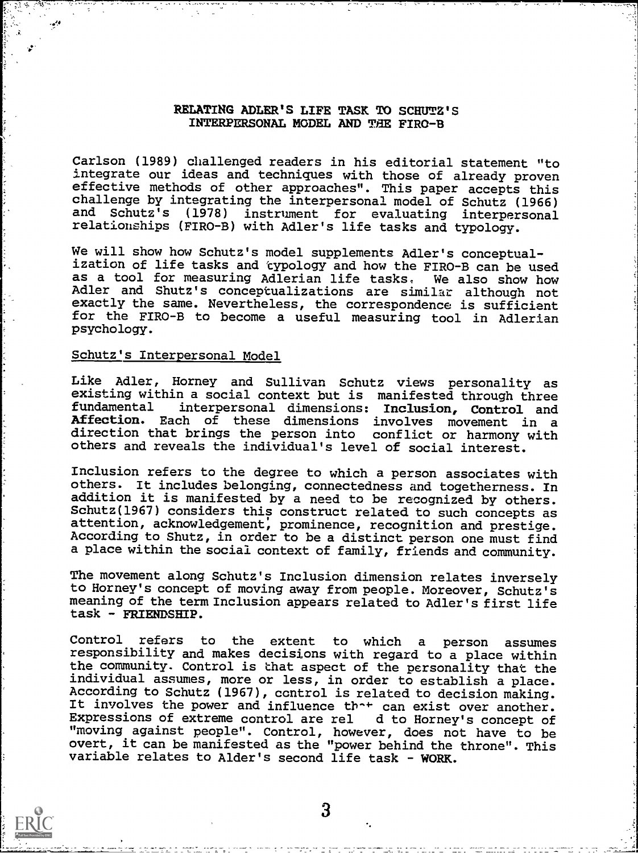# RELATING ADLER'S LIFE TASK TO SCHUTZ'S INTERPERSONAL MODEL AND THE FIRO-B

Carlson (1989) challenged readers in his editorial statement "to integrate our ideas and techniques with those of already proven effective methods of other approaches". This paper accepts this challenge by integrating the interpersonal model of Schutz (1966) and Schutz's (1978) instrument for evaluating interpersonal relationships (FIRO-B) with Adler's life tasks and typology.

We will show how Schutz's model supplements Adler's conceptualization of life tasks and typology and how the FIRO-B can be used as a tool for measuring Adlerian life tasks, We also show how Adler and Shutz's conceptualizations are similar although not exactly the same. Nevertheless, the correspondence is sufficient for the FIRO-B to become a useful measuring tool in Adlerian psychology.

## Schutz's Interpersonal Model

Like Adler, Horney and Sullivan Schutz views personality as existing within a social context but is manifested through three<br>fundamental interpersonal dimensions: Inclusion, Control and interpersonal dimensions: Inclusion, Control and Affection. Each of these dimensions involves movement in a direction that brings the person into conflict or harmony with others and reveals the individual's level of social interest.

Inclusion refers to the degree to which a person associates with others. It includes belonging, connectedness and togetherness. In addition it is manifested by a need to be recognized by others. Schutz(1967) considers this construct related to such concepts as attention, acknowledgement, prominence, recognition and prestige. According to Shutz, in order to be a distinct person one must find a place within the social context of family, friends and community.

The movement along Schutz's Inclusion dimension relates inversely to Horney's concept of moving away from people. Moreover, Schutz's meaning of the term Inclusion appears related to Adler's first life task - FRIENDSHIP.

Control refers to the extent to which a person assumes responsibility and makes decisions with regard to a place within the community. Control is that aspect of the personality that the individual assumes, more or less, in order to establish a place. According to Schutz (1967), ccntrol is related to decision making. It involves the power and influence th<sup>-+</sup> can exist over another. Expressions of extreme control are rel d to Horney's concept of "moving against people". Control, however, does not have to be overt, it can be manifested as the "power behind the throne". This variable relates to Alder's second life task - WORK.

3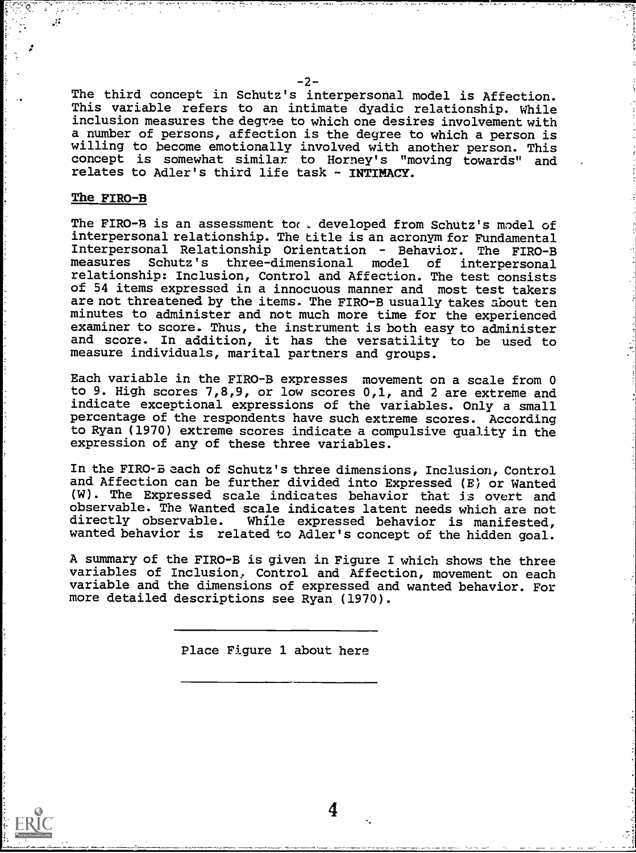The third concept in Schutz's interpersonal model is Affection. This variable refers to an intimate dyadic relationship. While inclusion measures the degree to which one desires involvement with a number of persons, affection is the degree to which a person is willing to become emotionally involved with another person. This concept is somewhat similar to Horney's "moving towards" and relates to Adler's third life task - INTIMACY.

### The FIRO-B

 $\mathcal{M}$ 

The FIRO-B is an assessment toc , developed from Schutz's model of interpersonal relationship. The title is an acronym for Fundamental Interpersonal Relationship Orientation - Behavior. The FIRO-B Schutz's three-dimensional model of interpersonal relationship: Inclusion, Control and Affection. The test consists of 54 items expressed in a innocuous manner and most test takers are not threatened by the items. The FIRO-B usually takes about ten minutes to administer and not much more time for the experienced examiner to score. Thus, the instrument is both easy to administer and score. In addition, it has the versatility to be used to measure individuals, marital partners and groups.

Each variable in the FIRO-B expresses movement on a scale from 0 to 9. High scores 7,8,9, or low scores 0,1, and 2 are extreme and indicate exceptional expressions of the variables. Only a small percentage of the respondents have such extreme scores. According to Ryan (1970) extreme scores indicate a compulsive quality in the expression of any of these three variables.

In the FIRO-B each of Schutz's three dimensions, Inclusion, Control and Affection can be further divided into Expressed (E) or Wanted (W). The Expressed scale indicates behavior that is overt and observable. The Wanted scale indicates latent needs which are not directly observable. While expressed behavior is manifested, wanted behavior is related to Adler's concept of the hidden goal.

A summary of the FIRO-B is given in Figure I which shows the three variables of Inclusion, Control and Affection, movement on each variable and the dimensions of expressed and wanted behavior. For more detailed descriptions see Ryan (1970).

4

Place Figure 1 about here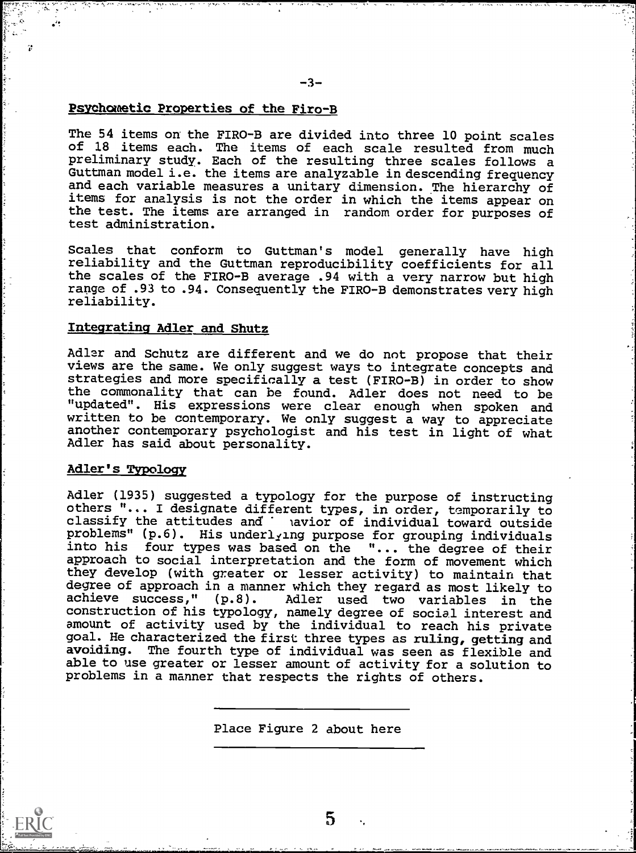# Psychometic Properties of the Firo-B

The 54 items on the FIRO-B are divided into three 10 point scales of 18 items each. The items of each scale resulted from much preliminary study. Each of the resulting three scales follows a Guttman model i.e. the items are analyzable in descending frequency and each variable measures a unitary dimension. The hierarchy of items for analysis is not the order in which the items appear on the test. The items are arranged in random order for purposes of test administration.

Scales that conform to Guttman's model generally have high reliability and the Guttman reproducibility coefficients for all the scales of the FIRO-B average .94 with a very narrow but high range of .93 to .94. Consequently the FIRO-B demonstrates very high reliability.

# Integrating Adler and Shutz

Adler and Schutz are different and we do not propose that their views are the same. We only suggest ways to integrate concepts and strategies and more specifically a test (FIRO-B) in order to show the commonality that can be found. Adler does not need to be "updated". His expressions were clear enough when spoken and written to be contemporary. We only suggest a way to appreciate another contemporary psychologist and his test in light of what Adler has said about personality.

### Adler's Typology

 $\ddot{r}$ 

Adler (1935) suggested a typology for the purpose of instructing others "... I designate different types, in order, temporarily to classify the attitudes and lavior of individual toward outside problems" (p.6). His underlying purpose for grouping individuals into his four types was based on the "... the degree of their approach to social interpretation and the form of movement which they develop (with greater or lesser activity) to maintain that degree of approach in a manner which they regard as most likely to achieve success," (p.8). Adler used two variables in the Adler used two variables in the construction of his typology, namely degree of social interest and amount of activity used by the individual to reach his private goal. He characterized the first three types as ruling, getting and avoiding. The fourth type of individual was seen as flexible and able to use greater or lesser amount of activity for a solution to problems in a manner that respects the rights of others.

Place Figure 2 about here

5

 $\ddot{\phantom{a}}$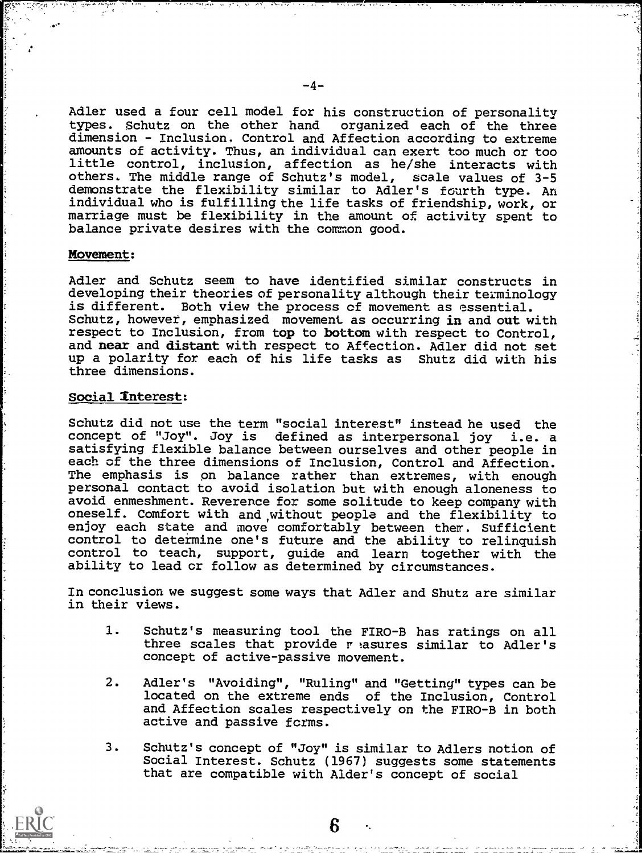Adler used a four cell model for his construction of personality types. Schutz on the other hand organized each of the three dimension - Inclusion. Control and Affection according to extreme amounts of activity. Thus, an individual can exert too much or too little control, inclusion, affection as he/she interacts with others. The middle range of Schutz's model, scale values of 3-5 demonstrate the flexibility similar to Adler's fourth type. An individual who is fulfilling the life tasks of friendship, work, or marriage must be flexibility in the amount of activity spent to balance private desires with the common good.

#### Movement:

Adler and Schutz seem to have identified similar constructs in developing their theories of personality although their teminology is different. Both view the process of movement as essential. Schutz, however, emphasized movement as occurring in and out with respect to Inclusion, from top to bottom with respect to Control, and near and distant with respect to Affection. Adler did not set up a polarity for each of his life tasks as Shutz did with his three dimensions.

# Social Interest:

Schutz did not use the term "social interest" instead he used the concept of "Joy". Joy is defined as interpersonal joy i.e. a satisfying flexible balance between ourselves and other people in each of the three dimensions of Inclusion, Control and Affection. The emphasis is pn balance rather than extremes, with enough personal contact to avoid isolation but with enough aloneness to avoid enmeshment. Reverence for some solitude to keep company with oneself. Comfort with and,without people and the flexibility to enjoy each state and move comfortably between them. Sufficient control to determine one's future and the ability to relinquish control to teach, support, guide and learn together with the ability to lead or follow as determined by circumstances.

In conclusion we suggest some ways that Adler and Shutz are similar in their views.

- 1. Schutz's measuring tool the FIRO-B has ratings on all three scales that provide r asures similar to Adler's concept of active-passive movement.
- 2. Adler's "Avoiding", "Ruling" and "Getting" types can be located on the extreme ends of the Inclusion, Control and Affection scales respectively on the FIRO-B in both active and passive forms.
- 3. Schutz's concept of "Joy" is similar to Adlers notion of Social Interest. Schutz (1967) suggests some statements that are compatible with Alder's concept of social

6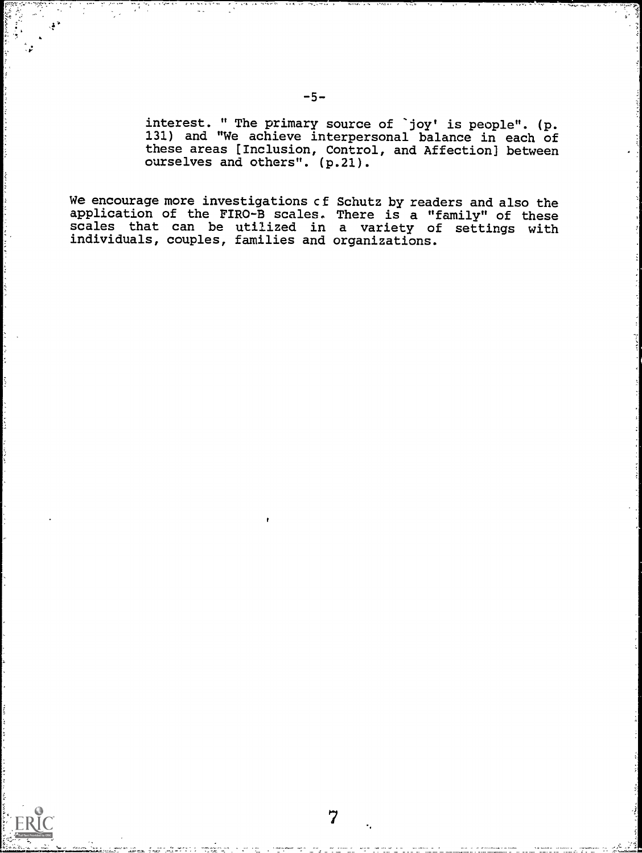interest. " The primary source of 'joy' is people". (p. 131) and "We achieve interpersonal balance in each of these areas [Inclusion, Control, and Affection] between ourselves and others". (p.21).

We encourage more investigations et application of the FIRO-B scales. scales that can be utilized in individuals, couples, families and Schutz by readers and also the There is a "family" of these a variety of settings with organizations.

7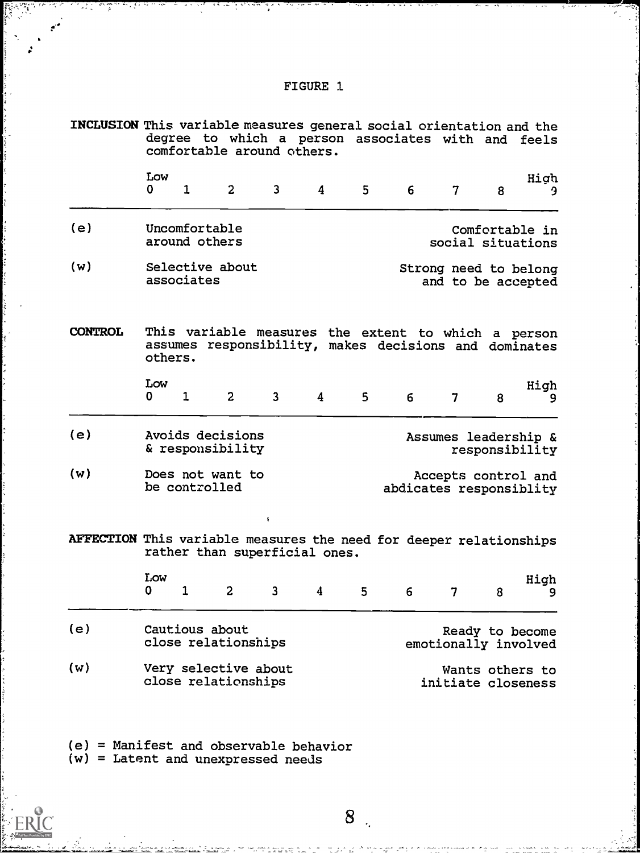| -1            |
|---------------|
|               |
|               |
|               |
|               |
| <b>FIGURE</b> |

**BAN**<br>Bandar

ERIC

7,20

ĩ

|                                                                                  | INCLUSION This variable measures general social orientation and the<br>degree to which a person associates with and feels<br>comfortable around others. |                                |                                             |                |   |                                                                                      |   |                      |                 |                |
|----------------------------------------------------------------------------------|---------------------------------------------------------------------------------------------------------------------------------------------------------|--------------------------------|---------------------------------------------|----------------|---|--------------------------------------------------------------------------------------|---|----------------------|-----------------|----------------|
|                                                                                  | Low<br>$\mathbf 0$                                                                                                                                      | $\mathbf{1}$                   | $\overline{2}$                              | $\overline{3}$ | 4 | 5                                                                                    | 6 | 7                    | 8               | High<br>9      |
| (e)                                                                              |                                                                                                                                                         | Uncomfortable<br>around others |                                             |                |   |                                                                                      |   | social situations    |                 | Comfortable in |
| (w)                                                                              | Selective about<br>Strong need to belong<br>associates<br>and to be accepted                                                                            |                                |                                             |                |   |                                                                                      |   |                      |                 |                |
| <b>CONTROL</b>                                                                   | others.                                                                                                                                                 |                                | assumes responsibility,                     |                |   | This variable measures the extent to which a person<br>makes decisions and dominates |   |                      |                 |                |
|                                                                                  | Low<br>0                                                                                                                                                | $\mathbf 1$                    | $\overline{2}$                              | 3              | 4 | $5^{\circ}$                                                                          | 6 | 7                    | 8               | High<br>9      |
| (e)                                                                              |                                                                                                                                                         |                                | Avoids decisions<br>& responsibility        |                |   |                                                                                      |   | Assumes leadership & | responsibility  |                |
| (w)                                                                              | Does not want to<br>Accepts control and<br>be controlled<br>abdicates responsiblity                                                                     |                                |                                             |                |   |                                                                                      |   |                      |                 |                |
| AFFECTION This variable measures the need for deeper relationships               |                                                                                                                                                         |                                | rather than superficial ones.               |                |   |                                                                                      |   |                      |                 |                |
|                                                                                  | Low<br>0                                                                                                                                                | 1                              | $\overline{c}$                              | 3              | 4 | 5                                                                                    | 6 | 7                    | 8               | High<br>9      |
| (e)                                                                              | Cautious about<br>Ready to become<br>close relationships<br>emotionally involved                                                                        |                                |                                             |                |   |                                                                                      |   |                      |                 |                |
| (w)                                                                              |                                                                                                                                                         |                                | Very selective about<br>close relationships |                |   |                                                                                      |   | initiate closeness   | Wants others to |                |
| $(e)$ = Manifest and observable behavior<br>$(w)$ = Latent and unexpressed needs |                                                                                                                                                         |                                |                                             |                |   |                                                                                      |   |                      |                 |                |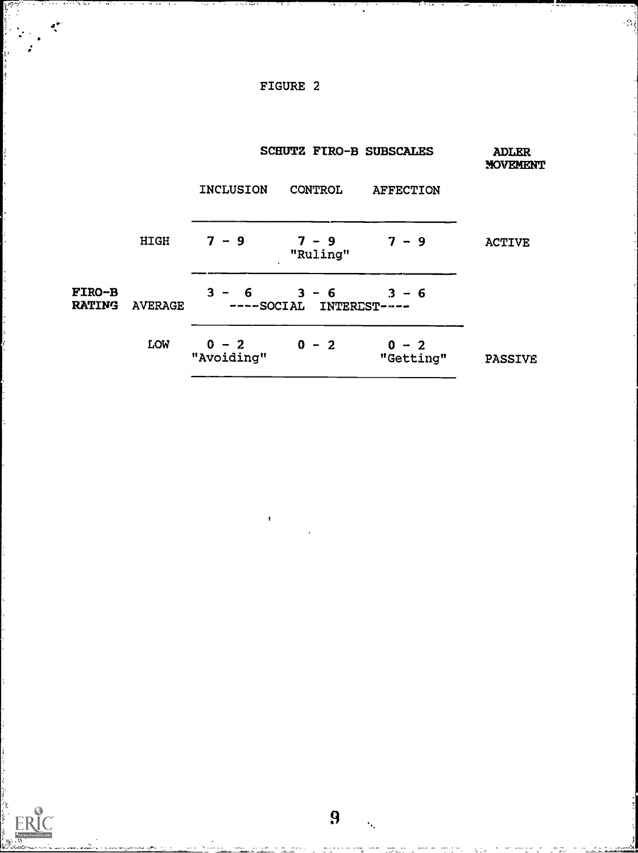# FIGURE 2

يغم

ERIC

 $\cdot \gamma_i$ 

|                                |                |                       | <b>SCHUTZ FIRO-B SUBSCALES</b>     | <b>ADLER</b><br><b>MOVEMENT</b> |                |  |
|--------------------------------|----------------|-----------------------|------------------------------------|---------------------------------|----------------|--|
|                                |                | <b>INCLUSION</b>      | CONTROL                            | <b>AFFECTION</b>                |                |  |
|                                | HIGH           | $7 - 9$               | $7 - 9$<br>"Ruling"                | $7 - 9$                         | <b>ACTIVE</b>  |  |
| <b>FIRO-B</b><br><b>RATING</b> | <b>AVERAGE</b> | $3 -$<br>- 6          | $3 - 6$<br>----SOCIAL INTEREST---- | $3 - 6$                         |                |  |
|                                | LOW            | $0 - 2$<br>"Avoiding" | $0 - 2$                            | $0 - 2$<br>"Getting"            | <b>PASSIVE</b> |  |

9

Ÿ.